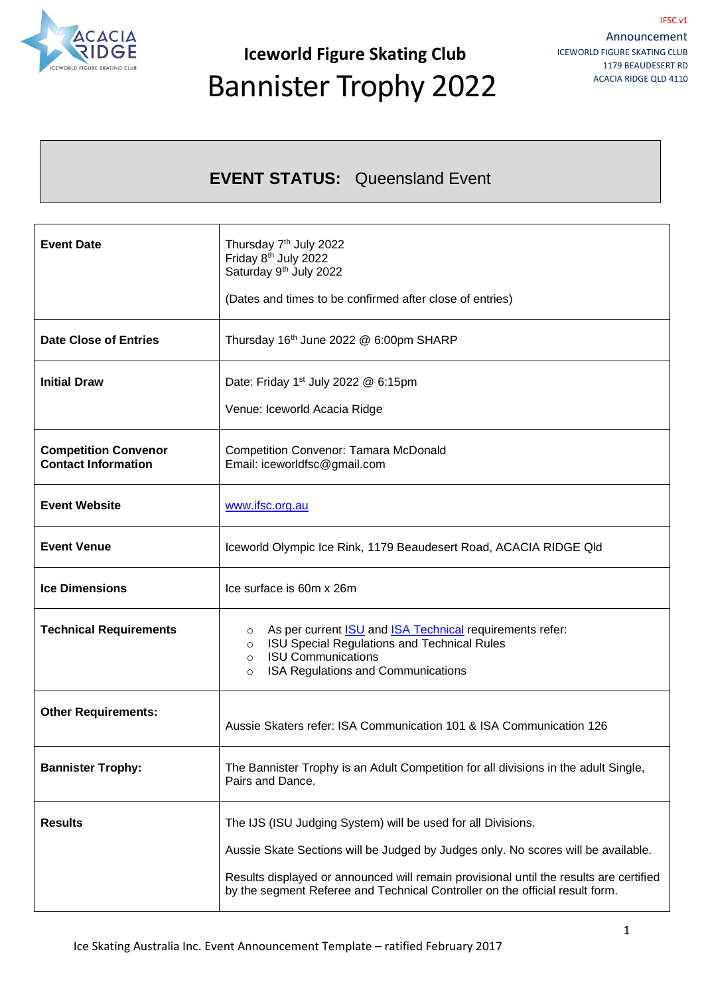

**Iceworld Figure Skating Club** Bannister Trophy 2022

#### **EVENT STATUS:** Queensland Event

| <b>Event Date</b>                                         | Thursday 7 <sup>th</sup> July 2022<br>Friday 8 <sup>th</sup> July 2022<br>Saturday 9 <sup>th</sup> July 2022<br>(Dates and times to be confirmed after close of entries)                                                                                                                                                    |  |
|-----------------------------------------------------------|-----------------------------------------------------------------------------------------------------------------------------------------------------------------------------------------------------------------------------------------------------------------------------------------------------------------------------|--|
| <b>Date Close of Entries</b>                              | Thursday 16th June 2022 @ 6:00pm SHARP                                                                                                                                                                                                                                                                                      |  |
| <b>Initial Draw</b>                                       | Date: Friday 1 <sup>st</sup> July 2022 @ 6:15pm<br>Venue: Iceworld Acacia Ridge                                                                                                                                                                                                                                             |  |
| <b>Competition Convenor</b><br><b>Contact Information</b> | <b>Competition Convenor: Tamara McDonald</b><br>Email: iceworldfsc@gmail.com                                                                                                                                                                                                                                                |  |
| <b>Event Website</b>                                      | www.ifsc.org.au                                                                                                                                                                                                                                                                                                             |  |
| <b>Event Venue</b>                                        | Iceworld Olympic Ice Rink, 1179 Beaudesert Road, ACACIA RIDGE QId                                                                                                                                                                                                                                                           |  |
| <b>Ice Dimensions</b>                                     | Ice surface is 60m x 26m                                                                                                                                                                                                                                                                                                    |  |
| <b>Technical Requirements</b>                             | As per current <b>ISU</b> and <b>ISA Technical</b> requirements refer:<br>$\circ$<br>ISU Special Regulations and Technical Rules<br>$\circ$<br><b>ISU Communications</b><br>$\circ$<br>ISA Regulations and Communications<br>$\circ$                                                                                        |  |
| <b>Other Requirements:</b>                                | Aussie Skaters refer: ISA Communication 101 & ISA Communication 126                                                                                                                                                                                                                                                         |  |
| <b>Bannister Trophy:</b>                                  | The Bannister Trophy is an Adult Competition for all divisions in the adult Single,<br>Pairs and Dance.                                                                                                                                                                                                                     |  |
| <b>Results</b>                                            | The IJS (ISU Judging System) will be used for all Divisions.<br>Aussie Skate Sections will be Judged by Judges only. No scores will be available.<br>Results displayed or announced will remain provisional until the results are certified<br>by the segment Referee and Technical Controller on the official result form. |  |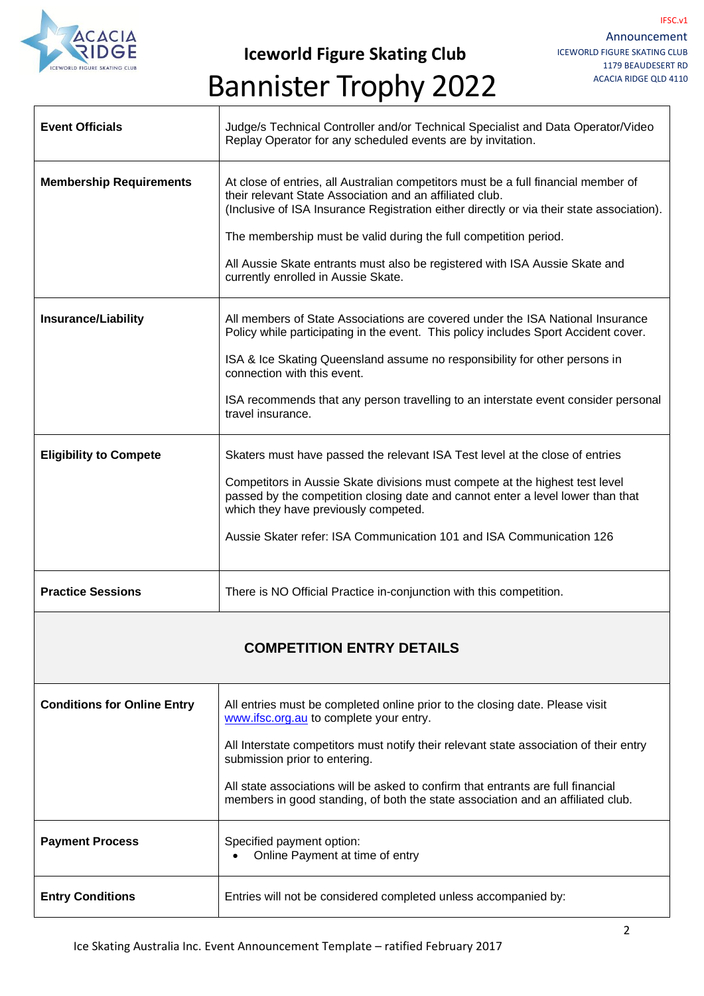

**Iceworld Figure Skating Club**

### Bannister Trophy 2022

| <b>Event Officials</b>             | Judge/s Technical Controller and/or Technical Specialist and Data Operator/Video<br>Replay Operator for any scheduled events are by invitation.                                                                                                                                                                                                                                                                                       |  |
|------------------------------------|---------------------------------------------------------------------------------------------------------------------------------------------------------------------------------------------------------------------------------------------------------------------------------------------------------------------------------------------------------------------------------------------------------------------------------------|--|
| <b>Membership Requirements</b>     | At close of entries, all Australian competitors must be a full financial member of<br>their relevant State Association and an affiliated club.<br>(Inclusive of ISA Insurance Registration either directly or via their state association).<br>The membership must be valid during the full competition period.<br>All Aussie Skate entrants must also be registered with ISA Aussie Skate and<br>currently enrolled in Aussie Skate. |  |
| <b>Insurance/Liability</b>         | All members of State Associations are covered under the ISA National Insurance                                                                                                                                                                                                                                                                                                                                                        |  |
|                                    | Policy while participating in the event. This policy includes Sport Accident cover.                                                                                                                                                                                                                                                                                                                                                   |  |
|                                    | ISA & Ice Skating Queensland assume no responsibility for other persons in<br>connection with this event.                                                                                                                                                                                                                                                                                                                             |  |
|                                    | ISA recommends that any person travelling to an interstate event consider personal<br>travel insurance.                                                                                                                                                                                                                                                                                                                               |  |
| <b>Eligibility to Compete</b>      | Skaters must have passed the relevant ISA Test level at the close of entries                                                                                                                                                                                                                                                                                                                                                          |  |
|                                    | Competitors in Aussie Skate divisions must compete at the highest test level<br>passed by the competition closing date and cannot enter a level lower than that<br>which they have previously competed.                                                                                                                                                                                                                               |  |
|                                    | Aussie Skater refer: ISA Communication 101 and ISA Communication 126                                                                                                                                                                                                                                                                                                                                                                  |  |
| <b>Practice Sessions</b>           | There is NO Official Practice in-conjunction with this competition.                                                                                                                                                                                                                                                                                                                                                                   |  |
| <b>COMPETITION ENTRY DETAILS</b>   |                                                                                                                                                                                                                                                                                                                                                                                                                                       |  |
| <b>Conditions for Online Entry</b> | All entries must be completed online prior to the closing date. Please visit<br>www.ifsc.org.au to complete your entry.                                                                                                                                                                                                                                                                                                               |  |
|                                    | All Interstate competitors must notify their relevant state association of their entry<br>submission prior to entering.                                                                                                                                                                                                                                                                                                               |  |
|                                    | All state associations will be asked to confirm that entrants are full financial<br>members in good standing, of both the state association and an affiliated club.                                                                                                                                                                                                                                                                   |  |
| <b>Payment Process</b>             | Specified payment option:<br>Online Payment at time of entry                                                                                                                                                                                                                                                                                                                                                                          |  |
| <b>Entry Conditions</b>            | Entries will not be considered completed unless accompanied by:                                                                                                                                                                                                                                                                                                                                                                       |  |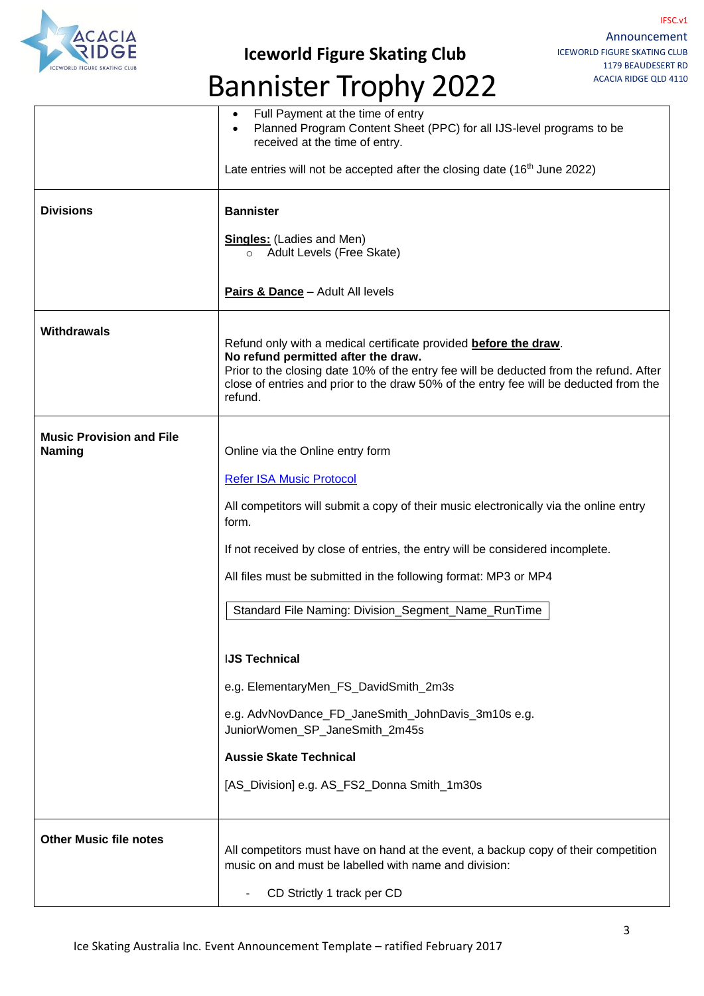

### **Iceworld Figure Skating Club**

# Bannister Trophy 2022

|                                                  | Full Payment at the time of entry<br>$\bullet$<br>Planned Program Content Sheet (PPC) for all IJS-level programs to be<br>$\bullet$<br>received at the time of entry.                                                                                                                                 |
|--------------------------------------------------|-------------------------------------------------------------------------------------------------------------------------------------------------------------------------------------------------------------------------------------------------------------------------------------------------------|
|                                                  | Late entries will not be accepted after the closing date ( $16th$ June 2022)                                                                                                                                                                                                                          |
| <b>Divisions</b>                                 | <b>Bannister</b>                                                                                                                                                                                                                                                                                      |
|                                                  | <b>Singles:</b> (Ladies and Men)<br>o Adult Levels (Free Skate)                                                                                                                                                                                                                                       |
|                                                  | Pairs & Dance - Adult All levels                                                                                                                                                                                                                                                                      |
| <b>Withdrawals</b>                               | Refund only with a medical certificate provided before the draw.<br>No refund permitted after the draw.<br>Prior to the closing date 10% of the entry fee will be deducted from the refund. After<br>close of entries and prior to the draw 50% of the entry fee will be deducted from the<br>refund. |
| <b>Music Provision and File</b><br><b>Naming</b> | Online via the Online entry form                                                                                                                                                                                                                                                                      |
|                                                  | <b>Refer ISA Music Protocol</b>                                                                                                                                                                                                                                                                       |
|                                                  | All competitors will submit a copy of their music electronically via the online entry<br>form.                                                                                                                                                                                                        |
|                                                  | If not received by close of entries, the entry will be considered incomplete.                                                                                                                                                                                                                         |
|                                                  | All files must be submitted in the following format: MP3 or MP4                                                                                                                                                                                                                                       |
|                                                  | Standard File Naming: Division_Segment_Name_RunTime                                                                                                                                                                                                                                                   |
|                                                  | <b>IJS Technical</b>                                                                                                                                                                                                                                                                                  |
|                                                  | e.g. ElementaryMen_FS_DavidSmith_2m3s                                                                                                                                                                                                                                                                 |
|                                                  | e.g. AdvNovDance_FD_JaneSmith_JohnDavis_3m10s e.g.<br>JuniorWomen_SP_JaneSmith_2m45s                                                                                                                                                                                                                  |
|                                                  | <b>Aussie Skate Technical</b>                                                                                                                                                                                                                                                                         |
|                                                  | [AS_Division] e.g. AS_FS2_Donna Smith_1m30s                                                                                                                                                                                                                                                           |
| <b>Other Music file notes</b>                    | All competitors must have on hand at the event, a backup copy of their competition<br>music on and must be labelled with name and division:<br>CD Strictly 1 track per CD                                                                                                                             |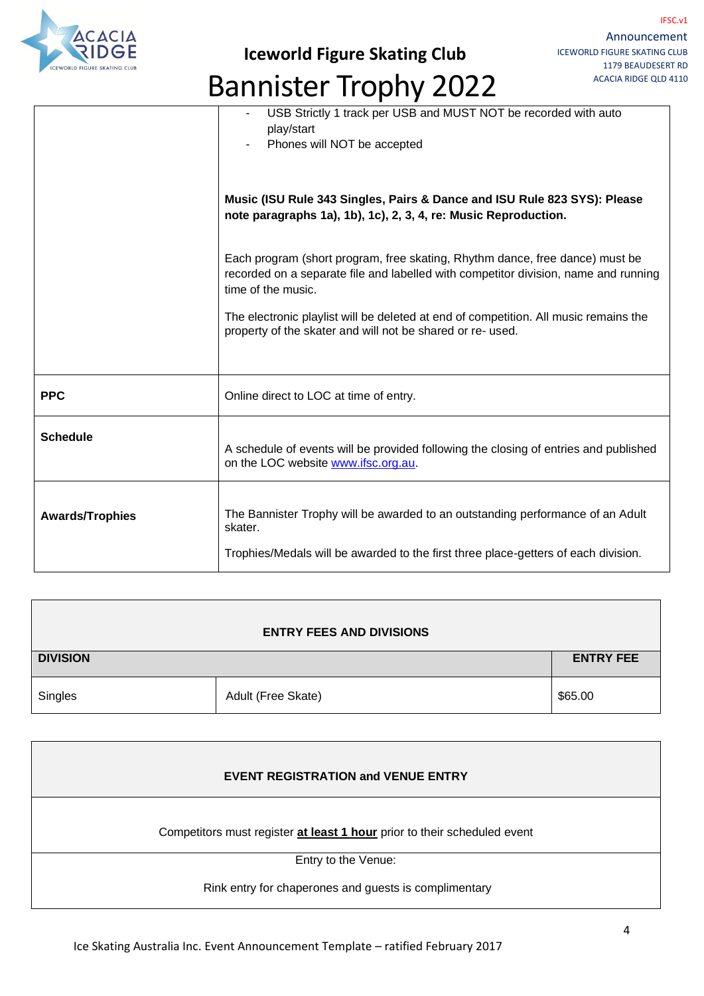

**Iceworld Figure Skating Club**

## Bannister Trophy 2022

|                        | USB Strictly 1 track per USB and MUST NOT be recorded with auto<br>play/start<br>Phones will NOT be accepted                                                                              |
|------------------------|-------------------------------------------------------------------------------------------------------------------------------------------------------------------------------------------|
|                        | Music (ISU Rule 343 Singles, Pairs & Dance and ISU Rule 823 SYS): Please<br>note paragraphs 1a), 1b), 1c), 2, 3, 4, re: Music Reproduction.                                               |
|                        | Each program (short program, free skating, Rhythm dance, free dance) must be<br>recorded on a separate file and labelled with competitor division, name and running<br>time of the music. |
|                        | The electronic playlist will be deleted at end of competition. All music remains the<br>property of the skater and will not be shared or re- used.                                        |
| <b>PPC</b>             | Online direct to LOC at time of entry.                                                                                                                                                    |
| <b>Schedule</b>        | A schedule of events will be provided following the closing of entries and published<br>on the LOC website www.ifsc.org.au.                                                               |
| <b>Awards/Trophies</b> | The Bannister Trophy will be awarded to an outstanding performance of an Adult<br>skater.                                                                                                 |
|                        | Trophies/Medals will be awarded to the first three place-getters of each division.                                                                                                        |

| <b>ENTRY FEES AND DIVISIONS</b> |                    |                  |  |
|---------------------------------|--------------------|------------------|--|
| <b>DIVISION</b>                 |                    | <b>ENTRY FEE</b> |  |
| Singles                         | Adult (Free Skate) | \$65.00          |  |

| <b>EVENT REGISTRATION and VENUE ENTRY</b>                                |  |
|--------------------------------------------------------------------------|--|
| Competitors must register at least 1 hour prior to their scheduled event |  |
| Entry to the Venue:                                                      |  |
| Rink entry for chaperones and guests is complimentary                    |  |